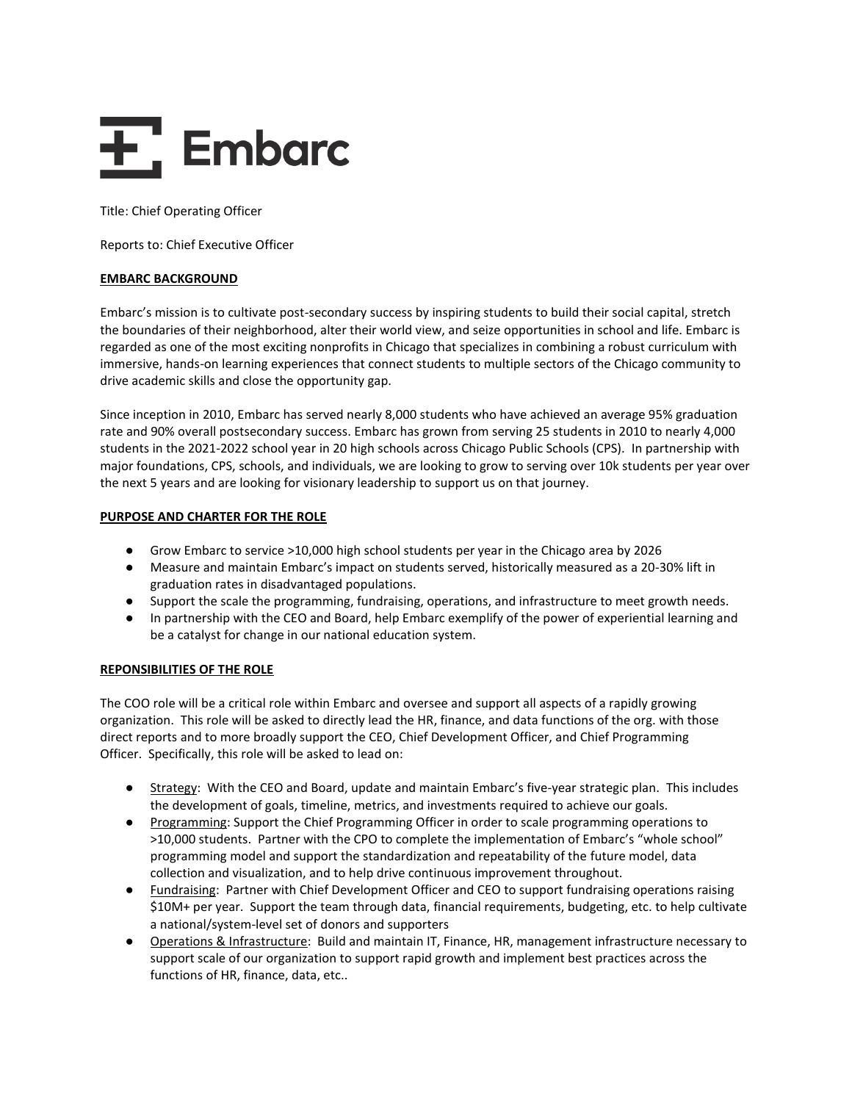# $\overline{\mathbf{F}}$ , Embarc

Title: Chief Operating Officer

Reports to: Chief Executive Officer

# **EMBARC BACKGROUND**

Embarc's mission is to cultivate post-secondary success by inspiring students to build their social capital, stretch the boundaries of their neighborhood, alter their world view, and seize opportunities in school and life. Embarc is regarded as one of the most exciting nonprofits in Chicago that specializes in combining a robust curriculum with immersive, hands-on learning experiences that connect students to multiple sectors of the Chicago community to drive academic skills and close the opportunity gap.

Since inception in 2010, Embarc has served nearly 8,000 students who have achieved an average 95% graduation rate and 90% overall postsecondary success. Embarc has grown from serving 25 students in 2010 to nearly 4,000 students in the 2021-2022 school year in 20 high schools across Chicago Public Schools (CPS). In partnership with major foundations, CPS, schools, and individuals, we are looking to grow to serving over 10k students per year over the next 5 years and are looking for visionary leadership to support us on that journey.

# **PURPOSE AND CHARTER FOR THE ROLE**

- Grow Embarc to service >10,000 high school students per year in the Chicago area by 2026
- Measure and maintain Embarc's impact on students served, historically measured as a 20-30% lift in graduation rates in disadvantaged populations.
- Support the scale the programming, fundraising, operations, and infrastructure to meet growth needs.
- In partnership with the CEO and Board, help Embarc exemplify of the power of experiential learning and be a catalyst for change in our national education system.

# **REPONSIBILITIES OF THE ROLE**

The COO role will be a critical role within Embarc and oversee and support all aspects of a rapidly growing organization. This role will be asked to directly lead the HR, finance, and data functions of the org. with those direct reports and to more broadly support the CEO, Chief Development Officer, and Chief Programming Officer. Specifically, this role will be asked to lead on:

- Strategy: With the CEO and Board, update and maintain Embarc's five-year strategic plan. This includes the development of goals, timeline, metrics, and investments required to achieve our goals.
- Programming: Support the Chief Programming Officer in order to scale programming operations to >10,000 students. Partner with the CPO to complete the implementation of Embarc's "whole school" programming model and support the standardization and repeatability of the future model, data collection and visualization, and to help drive continuous improvement throughout.
- Fundraising: Partner with Chief Development Officer and CEO to support fundraising operations raising \$10M+ per year. Support the team through data, financial requirements, budgeting, etc. to help cultivate a national/system-level set of donors and supporters
- Operations & Infrastructure: Build and maintain IT, Finance, HR, management infrastructure necessary to support scale of our organization to support rapid growth and implement best practices across the functions of HR, finance, data, etc..